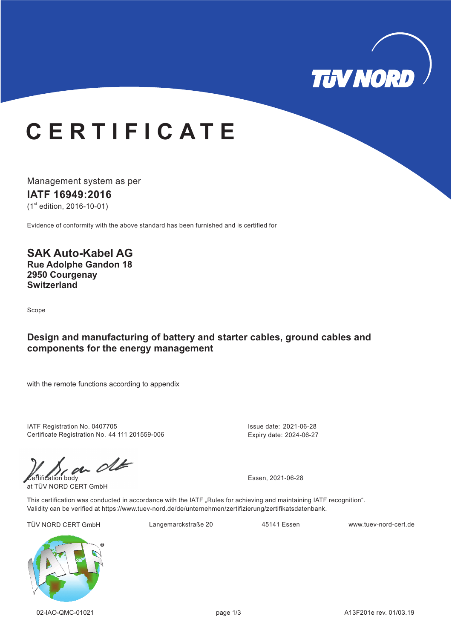

# **C E R T I F I C A T E**

Management system as per **IATF 16949: 16 20**  $(1<sup>st</sup>$  edition, 2016-10-01)

Evidence of conformity with the above standard has been furnished and is certified for

**SAK Auto-Kabel AG Rue Adolphe Gandon 18 2950 Courgenay Switzerland**

Scope

### **Design and manufacturing of battery and starter cables, ground cables and components for the energy management**

with the remote functions according to appendix

IATF Registration No. 0407705 Certificate Registration No. 44 111 201559-006

 $\mathcal{C}$ 

at TÜV NORD CERT GmbH

Issue date: 2021-06-28 Expiry date: 2024-06-27

This certification was conducted in accordance with the IATF "Rules for achieving and maintaining IATF recognition". Validity can be verified at https://www.tuev-nord.de/de/unternehmen/zertifizierung/zertifikatsdatenbank.

TÜV NORD CERT GmbH Langemarckstraße 20 www.tuev-nord-cert.de 45141 Essen

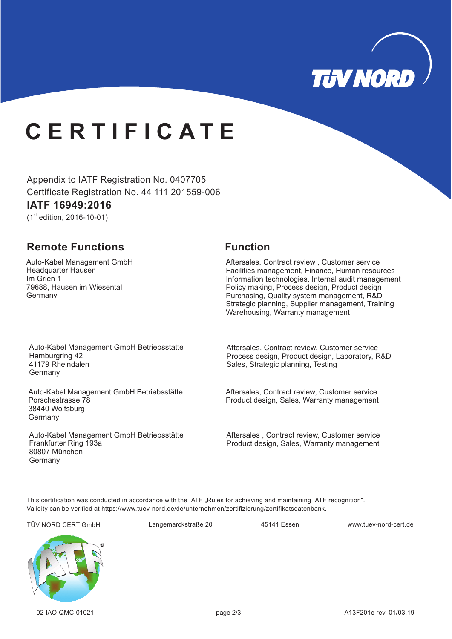

# **C E R T I F I C A T E**

Appendix to IATF Registration No. 0407705 Certificate Registration No. 44 111 201559-006

### **IATF 16949: 16 20**

 $(1<sup>st</sup>$  edition, 2016-10-01)

## **Remote Functions Function**

Auto-Kabel Management GmbH 1 Im Grien Headquarter Hausen 79688, Hausen im Wiesental Germany

Aftersales, Contract review , Customer service Facilities management, Finance, Human resources Information technologies, Internal audit management Policy making, Process design, Product design Purchasing, Quality system management, R&D Strategic planning, Supplier management, Training Warehousing, Warranty management

Auto-Kabel Management GmbH Betriebsstätte Hamburgring 42 41179 Rheindalen Germany

Auto-Kabel Management GmbH Betriebsstätte Porschestrasse 78 38440 Wolfsburg Germany

Auto-Kabel Management GmbH Betriebsstätte Frankfurter Ring 193a 80807 München Germany

Aftersales, Contract review, Customer service Process design, Product design, Laboratory, R&D Sales, Strategic planning, Testing

Aftersales, Contract review, Customer service Product design, Sales, Warranty management

Aftersales , Contract review, Customer service Product design, Sales, Warranty management

This certification was conducted in accordance with the IATF "Rules for achieving and maintaining IATF recognition". Validity can be verified at https://www.tuev-nord.de/de/unternehmen/zertifizierung/zertifikatsdatenbank.

TÜV NORD CERT GmbH Langemarckstraße 20 45141 Essen www.tuev-nord-cert.de